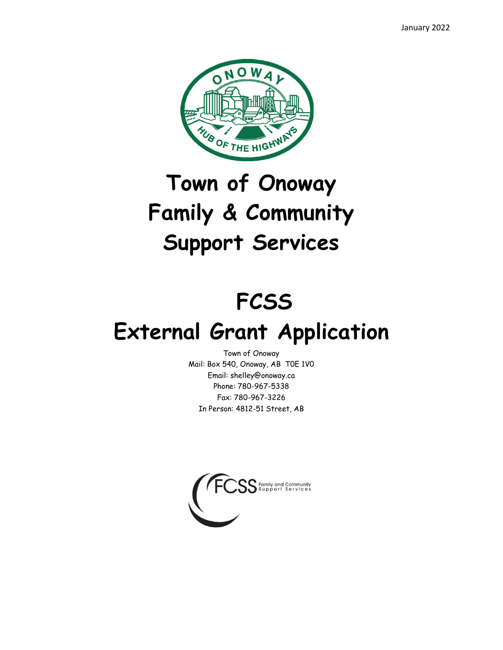January 2022



# **Town of Onoway Family & Community Support Services**

## **FCSS**

### **External Grant Application**

Town of Onoway Mail: Box 540, Onoway, AB T0E 1V0 Email: shelley@onoway.ca Phone: 780-967-5338 Fax: 780-967-3226 In Person: 4812-51 Street, AB

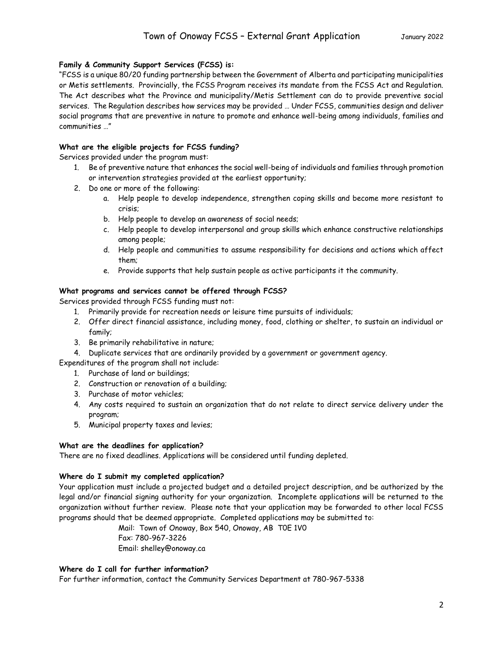#### **Family & Community Support Services (FCSS) is:**

"FCSS is a unique 80/20 funding partnership between the Government of Alberta and participating municipalities or Metis settlements. Provincially, the FCSS Program receives its mandate from the FCSS Act and Regulation. The Act describes what the Province and municipality/Metis Settlement can do to provide preventive social services. The Regulation describes how services may be provided … Under FCSS, communities design and deliver social programs that are preventive in nature to promote and enhance well-being among individuals, families and communities …"

#### **What are the eligible projects for FCSS funding?**

Services provided under the program must:

- 1. Be of preventive nature that enhances the social well-being of individuals and families through promotion or intervention strategies provided at the earliest opportunity;
- 2. Do one or more of the following:
	- a. Help people to develop independence, strengthen coping skills and become more resistant to crisis;
	- b. Help people to develop an awareness of social needs;
	- c. Help people to develop interpersonal and group skills which enhance constructive relationships among people;
	- d. Help people and communities to assume responsibility for decisions and actions which affect them;
	- e. Provide supports that help sustain people as active participants it the community.

#### **What programs and services cannot be offered through FCSS?**

Services provided through FCSS funding must not:

- 1. Primarily provide for recreation needs or leisure time pursuits of individuals;
- 2. Offer direct financial assistance, including money, food, clothing or shelter, to sustain an individual or family;
- 3. Be primarily rehabilitative in nature;
- 4. Duplicate services that are ordinarily provided by a government or government agency.
- Expenditures of the program shall not include:
	- 1. Purchase of land or buildings;
	- 2. Construction or renovation of a building;
	- 3. Purchase of motor vehicles;
	- 4. Any costs required to sustain an organization that do not relate to direct service delivery under the program;
	- 5. Municipal property taxes and levies;

#### **What are the deadlines for application?**

There are no fixed deadlines. Applications will be considered until funding depleted.

#### **Where do I submit my completed application?**

Your application must include a projected budget and a detailed project description, and be authorized by the legal and/or financial signing authority for your organization. Incomplete applications will be returned to the organization without further review. Please note that your application may be forwarded to other local FCSS programs should that be deemed appropriate. Completed applications may be submitted to:

> Mail: Town of Onoway, Box 540, Onoway, AB T0E 1V0 Fax: 780-967-3226 Email: shelley@onoway.ca

#### **Where do I call for further information?**

For further information, contact the Community Services Department at 780-967-5338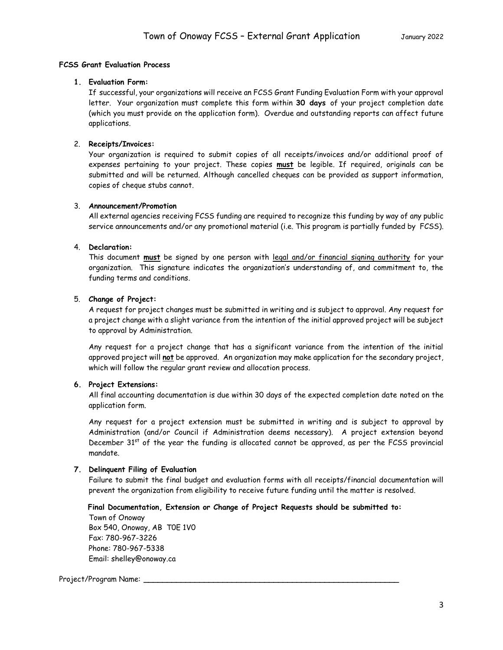#### **FCSS Grant Evaluation Process**

#### **1. Evaluation Form:**

If successful, your organizations will receive an FCSS Grant Funding Evaluation Form with your approval letter. Your organization must complete this form within **30 days** of your project completion date (which you must provide on the application form). Overdue and outstanding reports can affect future applications.

#### 2. **Receipts/Invoices:**

Your organization is required to submit copies of all receipts/invoices and/or additional proof of expenses pertaining to your project. These copies **must** be legible. If required, originals can be submitted and will be returned. Although cancelled cheques can be provided as support information, copies of cheque stubs cannot.

#### 3. **Announcement/Promotion**

All external agencies receiving FCSS funding are required to recognize this funding by way of any public service announcements and/or any promotional material (i.e. This program is partially funded by FCSS).

#### 4. **Declaration:**

This document **must** be signed by one person with legal and/or financial signing authority for your organization. This signature indicates the organization's understanding of, and commitment to, the funding terms and conditions.

#### 5. **Change of Project:**

A request for project changes must be submitted in writing and is subject to approval. Any request for a project change with a slight variance from the intention of the initial approved project will be subject to approval by Administration.

Any request for a project change that has a significant variance from the intention of the initial approved project will **not** be approved. An organization may make application for the secondary project, which will follow the regular grant review and allocation process.

#### **6. Project Extensions:**

All final accounting documentation is due within 30 days of the expected completion date noted on the application form.

Any request for a project extension must be submitted in writing and is subject to approval by Administration (and/or Council if Administration deems necessary). A project extension beyond December 31<sup>st</sup> of the year the funding is allocated cannot be approved, as per the FCSS provincial mandate.

#### **7. Delinquent Filing of Evaluation**

Failure to submit the final budget and evaluation forms with all receipts/financial documentation will prevent the organization from eligibility to receive future funding until the matter is resolved.

 **Final Documentation, Extension or Change of Project Requests should be submitted to:** 

Town of Onoway Box 540, Onoway, AB T0E 1V0 Fax: 780-967-3226 Phone: 780-967-5338 Email: shelley@onoway.ca

#### Project/Program Name: **\_\_\_\_\_\_\_\_\_\_\_\_\_\_\_\_\_\_\_\_\_\_\_\_\_\_\_\_\_\_\_\_\_\_\_\_\_\_\_\_\_\_\_\_\_\_\_\_\_\_\_\_\_\_\_**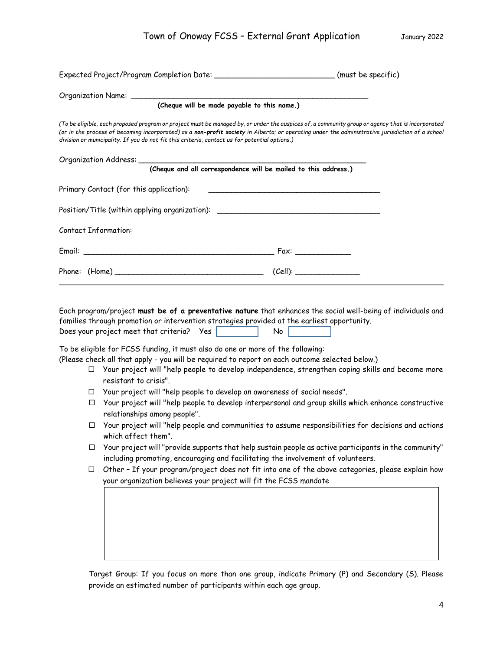| Expected Project/Program Completion Date: _____________________________(must be specific)                                                                                                                                                                                                                                                                                                            |  |
|------------------------------------------------------------------------------------------------------------------------------------------------------------------------------------------------------------------------------------------------------------------------------------------------------------------------------------------------------------------------------------------------------|--|
| (Cheque will be made payable to this name.)                                                                                                                                                                                                                                                                                                                                                          |  |
| (To be eligible, each proposed program or project must be managed by, or under the auspices of, a community group or agency that is incorporated<br>(or in the process of becoming incorporated) as a non-profit society in Alberta; or operating under the administrative jurisdiction of a school<br>division or municipality. If you do not fit this criteria, contact us for potential options.) |  |
| (Cheque and all correspondence will be mailed to this address.)                                                                                                                                                                                                                                                                                                                                      |  |
|                                                                                                                                                                                                                                                                                                                                                                                                      |  |
| Position/Title (within applying organization): _________________________________                                                                                                                                                                                                                                                                                                                     |  |
| <b>Contact Information:</b>                                                                                                                                                                                                                                                                                                                                                                          |  |
|                                                                                                                                                                                                                                                                                                                                                                                                      |  |
| (Cell):                                                                                                                                                                                                                                                                                                                                                                                              |  |

Each program/project **must be of a preventative nature** that enhances the social well-being of individuals and families through promotion or intervention strategies provided at the earliest opportunity. Does your project meet that criteria? Yes

To be eligible for FCSS funding, it must also do one or more of the following:

(Please check all that apply - you will be required to report on each outcome selected below.)

- Your project will "help people to develop independence, strengthen coping skills and become more resistant to crisis".
- Your project will "help people to develop an awareness of social needs".
- $\Box$  Your project will "help people to develop interpersonal and group skills which enhance constructive relationships among people".
- $\Box$  Your project will "help people and communities to assume responsibilities for decisions and actions which affect them".
- $\Box$  Your project will "provide supports that help sustain people as active participants in the community" including promoting, encouraging and facilitating the involvement of volunteers.
- $\Box$  Other If your program/project does not fit into one of the above categories, please explain how your organization believes your project will fit the FCSS mandate

Target Group: If you focus on more than one group, indicate Primary (P) and Secondary (S). Please provide an estimated number of participants within each age group.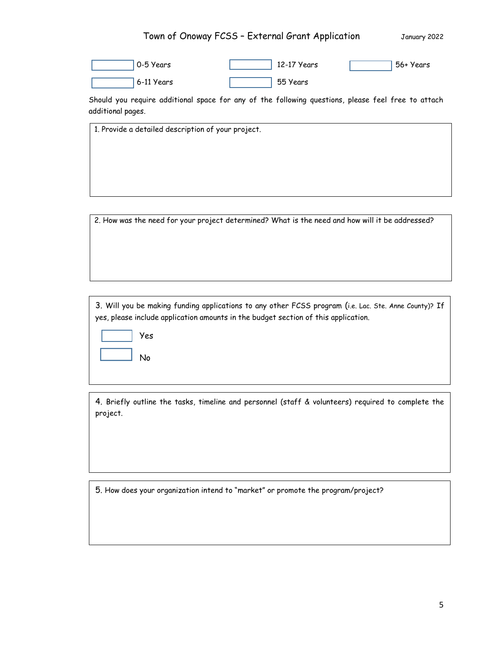### Town of Onoway FCSS - External Grant Application January 2022

| 0-5 Years  | 12-17 Years | 56+ Years |
|------------|-------------|-----------|
| 6-11 Years | 55 Years    |           |

Should you require additional space for any of the following questions, please feel free to attach additional pages.

1. Provide a detailed description of your project.

2. How was the need for your project determined? What is the need and how will it be addressed?

3. Will you be making funding applications to any other FCSS program (i.e. Lac. Ste. Anne County)? If yes, please include application amounts in the budget section of this application.



4. Briefly outline the tasks, timeline and personnel (staff & volunteers) required to complete the project.

5. How does your organization intend to "market" or promote the program/project?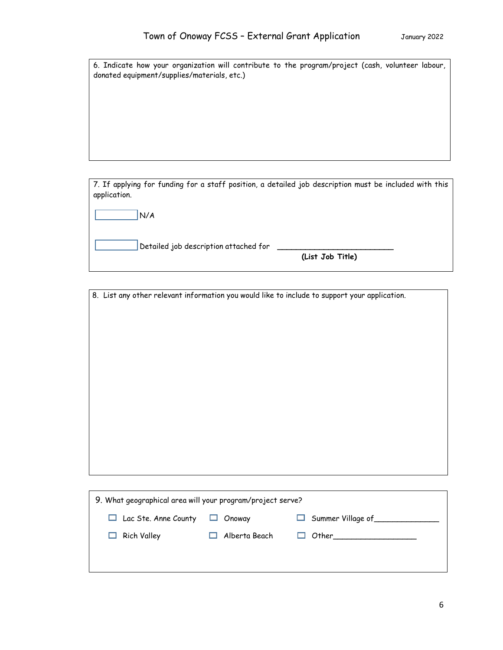|  |  |                                             |  |  | 6. Indicate how your organization will contribute to the program/project (cash, volunteer labour, |  |  |
|--|--|---------------------------------------------|--|--|---------------------------------------------------------------------------------------------------|--|--|
|  |  | donated equipment/supplies/materials, etc.) |  |  |                                                                                                   |  |  |

7. If applying for funding for a staff position, a detailed job description must be included with this application.

| N/A |
|-----|
|     |

Detailed job description attached for **\_\_\_\_\_\_\_\_\_\_\_\_\_\_\_\_\_\_\_\_\_\_\_\_\_**

 **(List Job Title)**

8. List any other relevant information you would like to include to support your application.

| 9. What geographical area will your program/project serve? |                      |                                 |  |  |  |  |  |
|------------------------------------------------------------|----------------------|---------------------------------|--|--|--|--|--|
| $\Box$ Lac Ste. Anne County                                | Onoway<br>ப          | $\Box$ Summer Village of $\Box$ |  |  |  |  |  |
| $\Box$ Rich Valley                                         | $\Box$ Alberta Beach | $\Box$ Other $\Box$             |  |  |  |  |  |
|                                                            |                      |                                 |  |  |  |  |  |